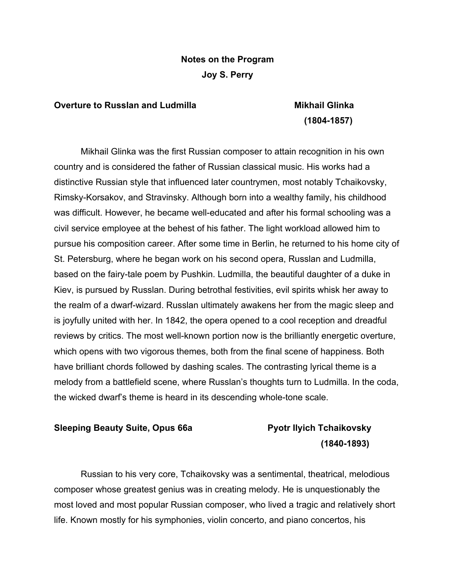### **Notes on the Program Joy S. Perry**

#### **Overture to Russlan and Ludmilla Communisty Constructs Communist Communisty Communisty Communisty Communisty**

## **(1804-1857)**

Mikhail Glinka was the first Russian composer to attain recognition in his own country and is considered the father of Russian classical music. His works had a distinctive Russian style that influenced later countrymen, most notably Tchaikovsky, Rimsky-Korsakov, and Stravinsky. Although born into a wealthy family, his childhood was difficult. However, he became well-educated and after his formal schooling was a civil service employee at the behest of his father. The light workload allowed him to pursue his composition career. After some time in Berlin, he returned to his home city of St. Petersburg, where he began work on his second opera, Russlan and Ludmilla, based on the fairy-tale poem by Pushkin. Ludmilla, the beautiful daughter of a duke in Kiev, is pursued by Russlan. During betrothal festivities, evil spirits whisk her away to the realm of a dwarf-wizard. Russlan ultimately awakens her from the magic sleep and is joyfully united with her. In 1842, the opera opened to a cool reception and dreadful reviews by critics. The most well-known portion now is the brilliantly energetic overture, which opens with two vigorous themes, both from the final scene of happiness. Both have brilliant chords followed by dashing scales. The contrasting lyrical theme is a melody from a battlefield scene, where Russlan's thoughts turn to Ludmilla. In the coda, the wicked dwarf's theme is heard in its descending whole-tone scale.

#### **Sleeping Beauty Suite, Opus 66a Pyotr Ilyich Tchaikovsky**

# **(1840-1893)**

Russian to his very core, Tchaikovsky was a sentimental, theatrical, melodious composer whose greatest genius was in creating melody. He is unquestionably the most loved and most popular Russian composer, who lived a tragic and relatively short life. Known mostly for his symphonies, violin concerto, and piano concertos, his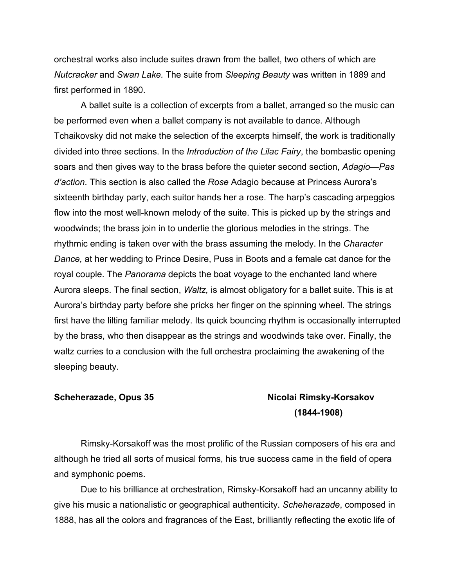orchestral works also include suites drawn from the ballet, two others of which are *Nutcracker* and *Swan Lake.* The suite from *Sleeping Beauty* was written in 1889 and first performed in 1890.

A ballet suite is a collection of excerpts from a ballet, arranged so the music can be performed even when a ballet company is not available to dance. Although Tchaikovsky did not make the selection of the excerpts himself, the work is traditionally divided into three sections. In the *Introduction of the Lilac Fairy*, the bombastic opening soars and then gives way to the brass before the quieter second section, *Adagio—Pas d'action*. This section is also called the *Rose* Adagio because at Princess Aurora's sixteenth birthday party, each suitor hands her a rose. The harp's cascading arpeggios flow into the most well-known melody of the suite. This is picked up by the strings and woodwinds; the brass join in to underlie the glorious melodies in the strings. The rhythmic ending is taken over with the brass assuming the melody. In the *Character Dance,* at her wedding to Prince Desire, Puss in Boots and a female cat dance for the royal couple. The *Panorama* depicts the boat voyage to the enchanted land where Aurora sleeps. The final section, *Waltz,* is almost obligatory for a ballet suite. This is at Aurora's birthday party before she pricks her finger on the spinning wheel. The strings first have the lilting familiar melody. Its quick bouncing rhythm is occasionally interrupted by the brass, who then disappear as the strings and woodwinds take over. Finally, the waltz curries to a conclusion with the full orchestra proclaiming the awakening of the sleeping beauty.

#### **Scheherazade, Opus 35 Nicolai Rimsky-Korsakov**

## **(1844-1908)**

Rimsky-Korsakoff was the most prolific of the Russian composers of his era and although he tried all sorts of musical forms, his true success came in the field of opera and symphonic poems.

Due to his brilliance at orchestration, Rimsky-Korsakoff had an uncanny ability to give his music a nationalistic or geographical authenticity. *Scheherazade*, composed in 1888, has all the colors and fragrances of the East, brilliantly reflecting the exotic life of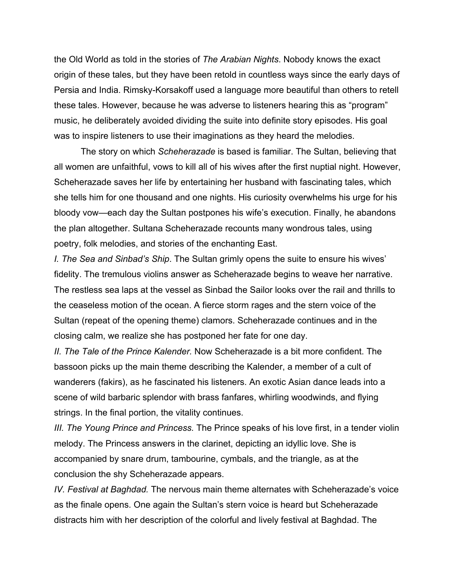the Old World as told in the stories of *The Arabian Nights*. Nobody knows the exact origin of these tales, but they have been retold in countless ways since the early days of Persia and India. Rimsky-Korsakoff used a language more beautiful than others to retell these tales. However, because he was adverse to listeners hearing this as "program" music, he deliberately avoided dividing the suite into definite story episodes. His goal was to inspire listeners to use their imaginations as they heard the melodies.

The story on which *Scheherazade* is based is familiar. The Sultan, believing that all women are unfaithful, vows to kill all of his wives after the first nuptial night. However, Scheherazade saves her life by entertaining her husband with fascinating tales, which she tells him for one thousand and one nights. His curiosity overwhelms his urge for his bloody vow—each day the Sultan postpones his wife's execution. Finally, he abandons the plan altogether. Sultana Scheherazade recounts many wondrous tales, using poetry, folk melodies, and stories of the enchanting East.

*I. The Sea and Sinbad's Ship*. The Sultan grimly opens the suite to ensure his wives' fidelity. The tremulous violins answer as Scheherazade begins to weave her narrative. The restless sea laps at the vessel as Sinbad the Sailor looks over the rail and thrills to the ceaseless motion of the ocean. A fierce storm rages and the stern voice of the Sultan (repeat of the opening theme) clamors. Scheherazade continues and in the closing calm, we realize she has postponed her fate for one day.

*II. The Tale of the Prince Kalender.* Now Scheherazade is a bit more confident. The bassoon picks up the main theme describing the Kalender, a member of a cult of wanderers (fakirs), as he fascinated his listeners. An exotic Asian dance leads into a scene of wild barbaric splendor with brass fanfares, whirling woodwinds, and flying strings. In the final portion, the vitality continues.

*III. The Young Prince and Princess.* The Prince speaks of his love first, in a tender violin melody. The Princess answers in the clarinet, depicting an idyllic love. She is accompanied by snare drum, tambourine, cymbals, and the triangle, as at the conclusion the shy Scheherazade appears.

*IV. Festival at Baghdad.* The nervous main theme alternates with Scheherazade's voice as the finale opens. One again the Sultan's stern voice is heard but Scheherazade distracts him with her description of the colorful and lively festival at Baghdad. The